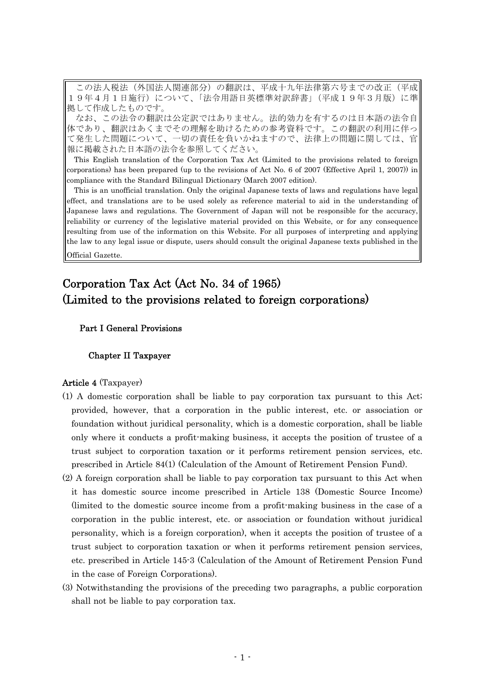この法人税法(外国法人関連部分)の翻訳は、平成十九年法律第六号までの改正(平成 19年4月1日施行)について、「法令用語日英標準対訳辞書」 (平成19年3月版)に準 拠して作成したものです。

なお、この法令の翻訳は公定訳ではありません。法的効力を有するのは日本語の法令自 体であり、翻訳はあくまでその理解を助けるための参考資料です。この翻訳の利用に伴っ て発生した問題について、一切の責任を負いかねますので、法律上の問題に関しては、官 報に掲載された日本語の法令を参照してください。

This English translation of the Corporation Tax Act (Limited to the provisions related to foreign corporations) has been prepared (up to the revisions of Act No. 6 of 2007 (Effective April 1, 2007)) in compliance with the Standard Bilingual Dictionary (March 2007 edition).

This is an unofficial translation. Only the original Japanese texts of laws and regulations have legal effect, and translations are to be used solely as reference material to aid in the understanding of Japanese laws and regulations. The Government of Japan will not be responsible for the accuracy, reliability or currency of the legislative material provided on this Website, or for any consequence resulting from use of the information on this Website. For all purposes of interpreting and applying the law to any legal issue or dispute, users should consult the original Japanese texts published in the Official Gazette.

# Corporation Tax Act (Act No. 34 of 1965) (Limited to the provisions related to foreign corporations)

# Part I General Provisions

### Chapter II Taxpayer

### Article 4 (Taxpayer)

- (1) A domestic corporation shall be liable to pay corporation tax pursuant to this Act; provided, however, that a corporation in the public interest, etc. or association or foundation without juridical personality, which is a domestic corporation, shall be liable only where it conducts a profit-making business, it accepts the position of trustee of a trust subject to corporation taxation or it performs retirement pension services, etc. prescribed in Article 84(1) (Calculation of the Amount of Retirement Pension Fund).
- (2) A foreign corporation shall be liable to pay corporation tax pursuant to this Act when it has domestic source income prescribed in Article 138 (Domestic Source Income) (limited to the domestic source income from a profit-making business in the case of a corporation in the public interest, etc. or association or foundation without juridical personality, which is a foreign corporation), when it accepts the position of trustee of a trust subject to corporation taxation or when it performs retirement pension services, etc. prescribed in Article 145-3 (Calculation of the Amount of Retirement Pension Fund in the case of Foreign Corporations).
- (3) Notwithstanding the provisions of the preceding two paragraphs, a public corporation shall not be liable to pay corporation tax.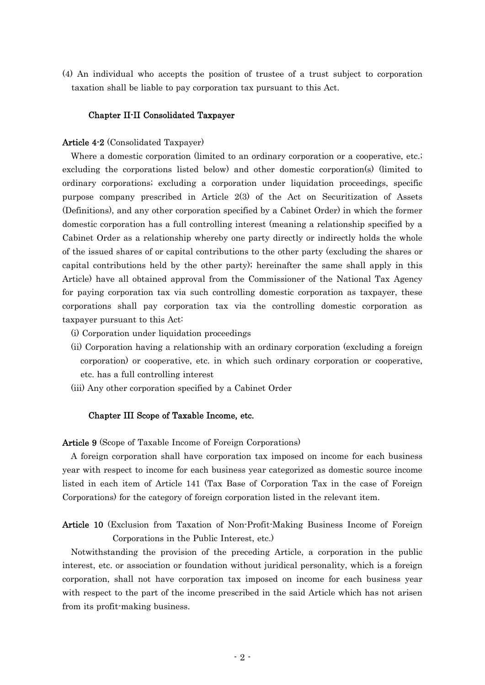(4) An individual who accepts the position of trustee of a trust subject to corporation taxation shall be liable to pay corporation tax pursuant to this Act.

### Chapter II-II Consolidated Taxpayer

### Article 4-2 (Consolidated Taxpayer)

Where a domestic corporation (limited to an ordinary corporation or a cooperative, etc.; excluding the corporations listed below) and other domestic corporation(s) (limited to ordinary corporations; excluding a corporation under liquidation proceedings, specific purpose company prescribed in Article 2(3) of the Act on Securitization of Assets (Definitions), and any other corporation specified by a Cabinet Order) in which the former domestic corporation has a full controlling interest (meaning a relationship specified by a Cabinet Order as a relationship whereby one party directly or indirectly holds the whole of the issued shares of or capital contributions to the other party (excluding the shares or capital contributions held by the other party); hereinafter the same shall apply in this Article) have all obtained approval from the Commissioner of the National Tax Agency for paying corporation tax via such controlling domestic corporation as taxpayer, these corporations shall pay corporation tax via the controlling domestic corporation as taxpayer pursuant to this Act:

- (i) Corporation under liquidation proceedings
- (ii) Corporation having a relationship with an ordinary corporation (excluding a foreign corporation) or cooperative, etc. in which such ordinary corporation or cooperative, etc. has a full controlling interest
- (iii) Any other corporation specified by a Cabinet Order

### Chapter III Scope of Taxable Income, etc.

Article 9 (Scope of Taxable Income of Foreign Corporations)

A foreign corporation shall have corporation tax imposed on income for each business year with respect to income for each business year categorized as domestic source income listed in each item of Article 141 (Tax Base of Corporation Tax in the case of Foreign Corporations) for the category of foreign corporation listed in the relevant item.

Article 10 (Exclusion from Taxation of Non-Profit-Making Business Income of Foreign Corporations in the Public Interest, etc.)

Notwithstanding the provision of the preceding Article, a corporation in the public interest, etc. or association or foundation without juridical personality, which is a foreign corporation, shall not have corporation tax imposed on income for each business year with respect to the part of the income prescribed in the said Article which has not arisen from its profit-making business.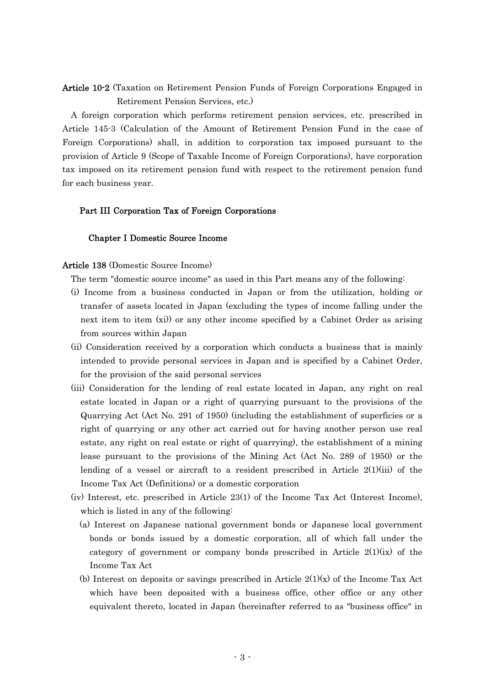# Article 10-2 (Taxation on Retirement Pension Funds of Foreign Corporations Engaged in Retirement Pension Services, etc.)

A foreign corporation which performs retirement pension services, etc. prescribed in Article 145-3 (Calculation of the Amount of Retirement Pension Fund in the case of Foreign Corporations) shall, in addition to corporation tax imposed pursuant to the provision of Article 9 (Scope of Taxable Income of Foreign Corporations), have corporation tax imposed on its retirement pension fund with respect to the retirement pension fund for each business year.

### Part III Corporation Tax of Foreign Corporations

# Chapter I Domestic Source Income

# Article 138 (Domestic Source Income)

The term "domestic source income" as used in this Part means any of the following:

- (i) Income from a business conducted in Japan or from the utilization, holding or transfer of assets located in Japan (excluding the types of income falling under the next item to item (xi)) or any other income specified by a Cabinet Order as arising from sources within Japan
- (ii) Consideration received by a corporation which conducts a business that is mainly intended to provide personal services in Japan and is specified by a Cabinet Order, for the provision of the said personal services
- (iii) Consideration for the lending of real estate located in Japan, any right on real estate located in Japan or a right of quarrying pursuant to the provisions of the Quarrying Act (Act No. 291 of 1950) (including the establishment of superficies or a right of quarrying or any other act carried out for having another person use real estate, any right on real estate or right of quarrying), the establishment of a mining lease pursuant to the provisions of the Mining Act (Act No. 289 of 1950) or the lending of a vessel or aircraft to a resident prescribed in Article  $2(1)(iii)$  of the Income Tax Act (Definitions) or a domestic corporation
- (iv) Interest, etc. prescribed in Article 23(1) of the Income Tax Act (Interest Income), which is listed in any of the following:
	- (a) Interest on Japanese national government bonds or Japanese local government bonds or bonds issued by a domestic corporation, all of which fall under the category of government or company bonds prescribed in Article  $2(1)(ix)$  of the Income Tax Act
	- (b) Interest on deposits or savings prescribed in Article  $2(1)(x)$  of the Income Tax Act which have been deposited with a business office, other office or any other equivalent thereto, located in Japan (hereinafter referred to as "business office" in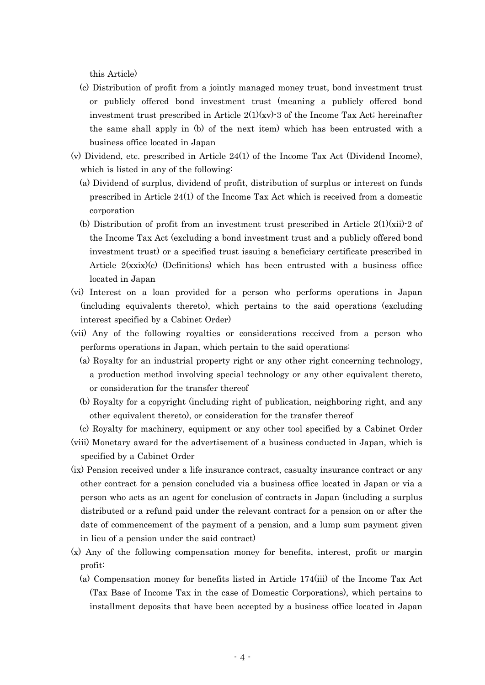this Article)

- (c) Distribution of profit from a jointly managed money trust, bond investment trust or publicly offered bond investment trust (meaning a publicly offered bond investment trust prescribed in Article  $2(1)(xy)$ -3 of the Income Tax Act; hereinafter the same shall apply in (b) of the next item) which has been entrusted with a business office located in Japan
- (v) Dividend, etc. prescribed in Article 24(1) of the Income Tax Act (Dividend Income), which is listed in any of the following:
	- (a) Dividend of surplus, dividend of profit, distribution of surplus or interest on funds prescribed in Article 24(1) of the Income Tax Act which is received from a domestic corporation
	- (b) Distribution of profit from an investment trust prescribed in Article  $2(1)(xii)$ -2 of the Income Tax Act (excluding a bond investment trust and a publicly offered bond investment trust) or a specified trust issuing a beneficiary certificate prescribed in Article  $2(x\text{six})$ (c) (Definitions) which has been entrusted with a business office located in Japan
- (vi) Interest on a loan provided for a person who performs operations in Japan (including equivalents thereto), which pertains to the said operations (excluding interest specified by a Cabinet Order)
- (vii) Any of the following royalties or considerations received from a person who performs operations in Japan, which pertain to the said operations:
	- (a) Royalty for an industrial property right or any other right concerning technology, a production method involving special technology or any other equivalent thereto, or consideration for the transfer thereof
	- (b) Royalty for a copyright (including right of publication, neighboring right, and any other equivalent thereto), or consideration for the transfer thereof
	- (c) Royalty for machinery, equipment or any other tool specified by a Cabinet Order
- (viii) Monetary award for the advertisement of a business conducted in Japan, which is specified by a Cabinet Order
- (ix) Pension received under a life insurance contract, casualty insurance contract or any other contract for a pension concluded via a business office located in Japan or via a person who acts as an agent for conclusion of contracts in Japan (including a surplus distributed or a refund paid under the relevant contract for a pension on or after the date of commencement of the payment of a pension, and a lump sum payment given in lieu of a pension under the said contract)
- (x) Any of the following compensation money for benefits, interest, profit or margin profit:
	- (a) Compensation money for benefits listed in Article 174(iii) of the Income Tax Act (Tax Base of Income Tax in the case of Domestic Corporations), which pertains to installment deposits that have been accepted by a business office located in Japan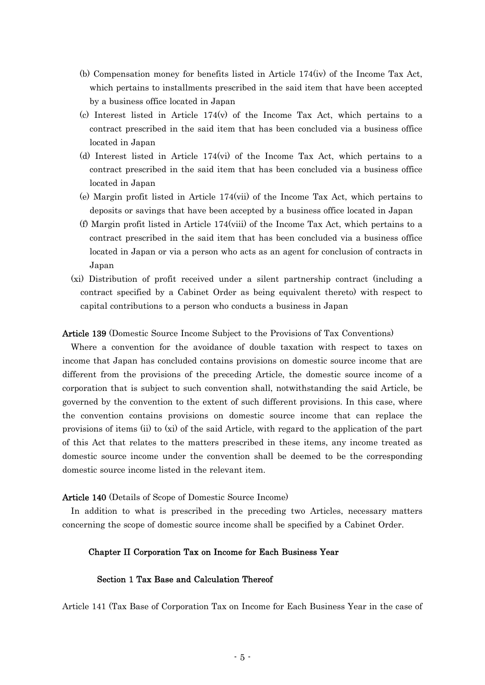- (b) Compensation money for benefits listed in Article 174(iv) of the Income Tax Act, which pertains to installments prescribed in the said item that have been accepted by a business office located in Japan
- (c) Interest listed in Article 174(v) of the Income Tax Act, which pertains to a contract prescribed in the said item that has been concluded via a business office located in Japan
- (d) Interest listed in Article 174(vi) of the Income Tax Act, which pertains to a contract prescribed in the said item that has been concluded via a business office located in Japan
- (e) Margin profit listed in Article 174(vii) of the Income Tax Act, which pertains to deposits or savings that have been accepted by a business office located in Japan
- (f) Margin profit listed in Article 174(viii) of the Income Tax Act, which pertains to a contract prescribed in the said item that has been concluded via a business office located in Japan or via a person who acts as an agent for conclusion of contracts in Japan
- (xi) Distribution of profit received under a silent partnership contract (including a contract specified by a Cabinet Order as being equivalent thereto) with respect to capital contributions to a person who conducts a business in Japan

### Article 139 (Domestic Source Income Subject to the Provisions of Tax Conventions)

Where a convention for the avoidance of double taxation with respect to taxes on income that Japan has concluded contains provisions on domestic source income that are different from the provisions of the preceding Article, the domestic source income of a corporation that is subject to such convention shall, notwithstanding the said Article, be governed by the convention to the extent of such different provisions. In this case, where the convention contains provisions on domestic source income that can replace the provisions of items (ii) to (xi) of the said Article, with regard to the application of the part of this Act that relates to the matters prescribed in these items, any income treated as domestic source income under the convention shall be deemed to be the corresponding domestic source income listed in the relevant item.

### Article 140 (Details of Scope of Domestic Source Income)

In addition to what is prescribed in the preceding two Articles, necessary matters concerning the scope of domestic source income shall be specified by a Cabinet Order.

### Chapter II Corporation Tax on Income for Each Business Year

### Section 1 Tax Base and Calculation Thereof

Article 141 (Tax Base of Corporation Tax on Income for Each Business Year in the case of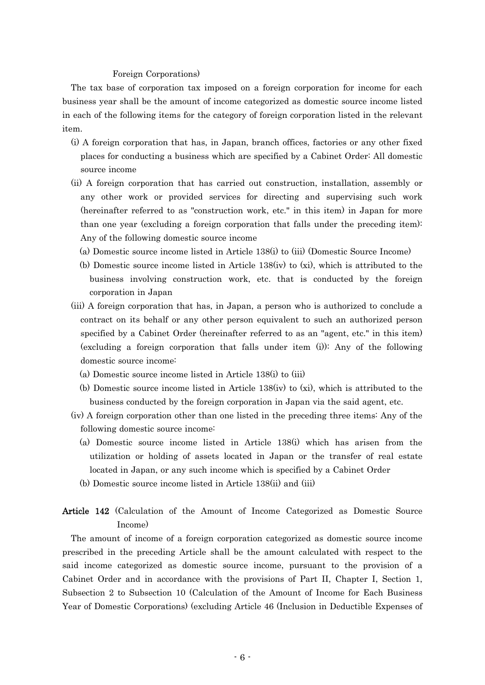#### Foreign Corporations)

The tax base of corporation tax imposed on a foreign corporation for income for each business year shall be the amount of income categorized as domestic source income listed in each of the following items for the category of foreign corporation listed in the relevant item.

- (i) A foreign corporation that has, in Japan, branch offices, factories or any other fixed places for conducting a business which are specified by a Cabinet Order: All domestic source income
- (ii) A foreign corporation that has carried out construction, installation, assembly or any other work or provided services for directing and supervising such work (hereinafter referred to as "construction work, etc." in this item) in Japan for more than one year (excluding a foreign corporation that falls under the preceding item): Any of the following domestic source income
	- (a) Domestic source income listed in Article 138(i) to (iii) (Domestic Source Income)
	- (b) Domestic source income listed in Article 138(iv) to (xi), which is attributed to the business involving construction work, etc. that is conducted by the foreign corporation in Japan
- (iii) A foreign corporation that has, in Japan, a person who is authorized to conclude a contract on its behalf or any other person equivalent to such an authorized person specified by a Cabinet Order (hereinafter referred to as an "agent, etc." in this item) (excluding a foreign corporation that falls under item (i)): Any of the following domestic source income:
	- (a) Domestic source income listed in Article 138(i) to (iii)
	- (b) Domestic source income listed in Article 138(iv) to (xi), which is attributed to the business conducted by the foreign corporation in Japan via the said agent, etc.
- (iv) A foreign corporation other than one listed in the preceding three items: Any of the following domestic source income:
	- (a) Domestic source income listed in Article 138(i) which has arisen from the utilization or holding of assets located in Japan or the transfer of real estate located in Japan, or any such income which is specified by a Cabinet Order
	- (b) Domestic source income listed in Article 138(ii) and (iii)

# Article 142 (Calculation of the Amount of Income Categorized as Domestic Source Income)

The amount of income of a foreign corporation categorized as domestic source income prescribed in the preceding Article shall be the amount calculated with respect to the said income categorized as domestic source income, pursuant to the provision of a Cabinet Order and in accordance with the provisions of Part II, Chapter I, Section 1, Subsection 2 to Subsection 10 (Calculation of the Amount of Income for Each Business Year of Domestic Corporations) (excluding Article 46 (Inclusion in Deductible Expenses of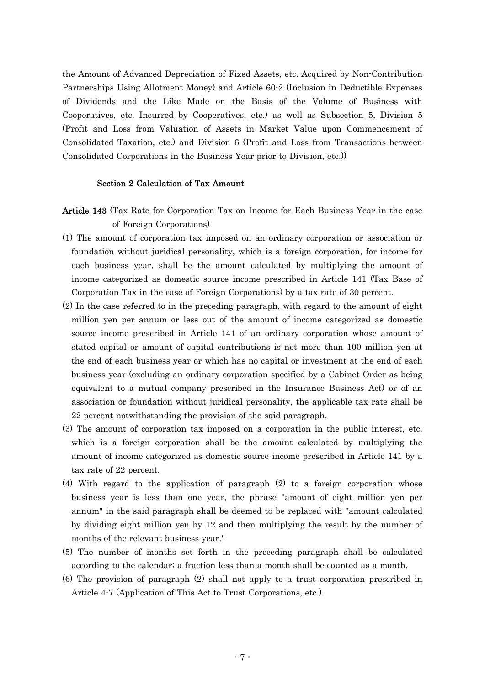the Amount of Advanced Depreciation of Fixed Assets, etc. Acquired by Non-Contribution Partnerships Using Allotment Money) and Article 60-2 (Inclusion in Deductible Expenses of Dividends and the Like Made on the Basis of the Volume of Business with Cooperatives, etc. Incurred by Cooperatives, etc.) as well as Subsection 5, Division 5 (Profit and Loss from Valuation of Assets in Market Value upon Commencement of Consolidated Taxation, etc.) and Division 6 (Profit and Loss from Transactions between Consolidated Corporations in the Business Year prior to Division, etc.))

# Section 2 Calculation of Tax Amount

- Article 143 (Tax Rate for Corporation Tax on Income for Each Business Year in the case of Foreign Corporations)
- (1) The amount of corporation tax imposed on an ordinary corporation or association or foundation without juridical personality, which is a foreign corporation, for income for each business year, shall be the amount calculated by multiplying the amount of income categorized as domestic source income prescribed in Article 141 (Tax Base of Corporation Tax in the case of Foreign Corporations) by a tax rate of 30 percent.
- (2) In the case referred to in the preceding paragraph, with regard to the amount of eight million yen per annum or less out of the amount of income categorized as domestic source income prescribed in Article 141 of an ordinary corporation whose amount of stated capital or amount of capital contributions is not more than 100 million yen at the end of each business year or which has no capital or investment at the end of each business year (excluding an ordinary corporation specified by a Cabinet Order as being equivalent to a mutual company prescribed in the Insurance Business Act) or of an association or foundation without juridical personality, the applicable tax rate shall be 22 percent notwithstanding the provision of the said paragraph.
- (3) The amount of corporation tax imposed on a corporation in the public interest, etc. which is a foreign corporation shall be the amount calculated by multiplying the amount of income categorized as domestic source income prescribed in Article 141 by a tax rate of 22 percent.
- (4) With regard to the application of paragraph (2) to a foreign corporation whose business year is less than one year, the phrase "amount of eight million yen per annum" in the said paragraph shall be deemed to be replaced with "amount calculated by dividing eight million yen by 12 and then multiplying the result by the number of months of the relevant business year."
- (5) The number of months set forth in the preceding paragraph shall be calculated according to the calendar; a fraction less than a month shall be counted as a month.
- (6) The provision of paragraph (2) shall not apply to a trust corporation prescribed in Article 4-7 (Application of This Act to Trust Corporations, etc.).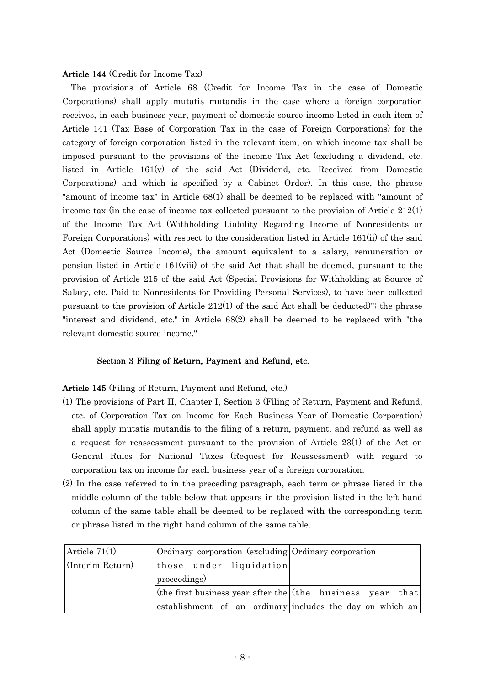### Article 144 (Credit for Income Tax)

The provisions of Article 68 (Credit for Income Tax in the case of Domestic Corporations) shall apply mutatis mutandis in the case where a foreign corporation receives, in each business year, payment of domestic source income listed in each item of Article 141 (Tax Base of Corporation Tax in the case of Foreign Corporations) for the category of foreign corporation listed in the relevant item, on which income tax shall be imposed pursuant to the provisions of the Income Tax Act (excluding a dividend, etc. listed in Article 161(v) of the said Act (Dividend, etc. Received from Domestic Corporations) and which is specified by a Cabinet Order). In this case, the phrase "amount of income tax" in Article 68(1) shall be deemed to be replaced with "amount of income tax (in the case of income tax collected pursuant to the provision of Article 212(1) of the Income Tax Act (Withholding Liability Regarding Income of Nonresidents or Foreign Corporations) with respect to the consideration listed in Article 161(ii) of the said Act (Domestic Source Income), the amount equivalent to a salary, remuneration or pension listed in Article 161(viii) of the said Act that shall be deemed, pursuant to the provision of Article 215 of the said Act (Special Provisions for Withholding at Source of Salary, etc. Paid to Nonresidents for Providing Personal Services), to have been collected pursuant to the provision of Article  $212(1)$  of the said Act shall be deducted)"; the phrase "interest and dividend, etc." in Article 68(2) shall be deemed to be replaced with "the relevant domestic source income."

### Section 3 Filing of Return, Payment and Refund, etc.

### Article 145 (Filing of Return, Payment and Refund, etc.)

- (1) The provisions of Part II, Chapter I, Section 3 (Filing of Return, Payment and Refund, etc. of Corporation Tax on Income for Each Business Year of Domestic Corporation) shall apply mutatis mutandis to the filing of a return, payment, and refund as well as a request for reassessment pursuant to the provision of Article 23(1) of the Act on General Rules for National Taxes (Request for Reassessment) with regard to corporation tax on income for each business year of a foreign corporation.
- (2) In the case referred to in the preceding paragraph, each term or phrase listed in the middle column of the table below that appears in the provision listed in the left hand column of the same table shall be deemed to be replaced with the corresponding term or phrase listed in the right hand column of the same table.

| Article $71(1)$  | Ordinary corporation (excluding Ordinary corporation                |  |
|------------------|---------------------------------------------------------------------|--|
| (Interim Return) | those under liquidation                                             |  |
|                  | proceedings)                                                        |  |
|                  | (the first business year after the $(\text{the}$ business year that |  |
|                  | establishment of an ordinary includes the day on which an           |  |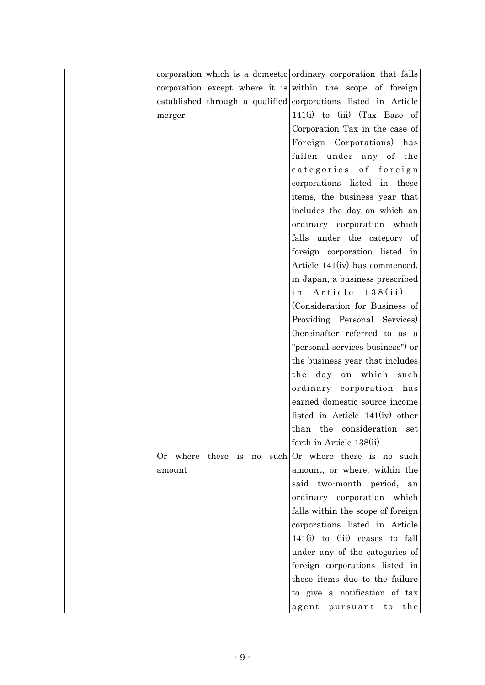|                |               |    | corporation which is a domestic ordinary corporation that falls |
|----------------|---------------|----|-----------------------------------------------------------------|
|                |               |    | corporation except where it is within the scope of foreign      |
|                |               |    | established through a qualified corporations listed in Article  |
| merger         |               |    | $141(i)$ to (iii) (Tax Base of                                  |
|                |               |    | Corporation Tax in the case of                                  |
|                |               |    | Foreign Corporations)<br>has                                    |
|                |               |    | fallen under any of the                                         |
|                |               |    | categories of foreign                                           |
|                |               |    | corporations listed in these                                    |
|                |               |    | items, the business year that                                   |
|                |               |    | includes the day on which an                                    |
|                |               |    | ordinary corporation which                                      |
|                |               |    | falls under the category of                                     |
|                |               |    | foreign corporation listed in                                   |
|                |               |    | Article 141(iv) has commenced,                                  |
|                |               |    | in Japan, a business prescribed                                 |
|                |               |    | Article 138(ii)<br>i n                                          |
|                |               |    | (Consideration for Business of                                  |
|                |               |    | Providing Personal Services)                                    |
|                |               |    | (hereinafter referred to as a                                   |
|                |               |    | "personal services business") or                                |
|                |               |    | the business year that includes                                 |
|                |               |    | the day on which such                                           |
|                |               |    | ordinary corporation has                                        |
|                |               |    | earned domestic source income                                   |
|                |               |    | listed in Article $141(iv)$ other                               |
|                |               |    | than the consideration set                                      |
|                |               |    | forth in Article 138(ii)                                        |
| Or where there | $\frac{1}{1}$ | no | such Or where there is no such                                  |
| amount         |               |    | amount, or where, within the                                    |
|                |               |    | said two-month period, an                                       |
|                |               |    | ordinary corporation which                                      |
|                |               |    | falls within the scope of foreign                               |
|                |               |    | corporations listed in Article                                  |
|                |               |    | $141(i)$ to $(iii)$ ceases to fall                              |
|                |               |    | under any of the categories of                                  |
|                |               |    | foreign corporations listed in                                  |
|                |               |    | these items due to the failure                                  |
|                |               |    | to give a notification of tax                                   |
|                |               |    | agent pursuant<br>the<br>to                                     |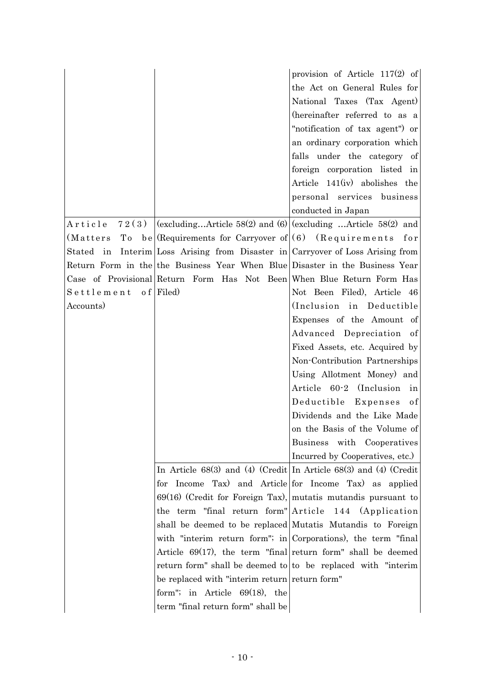|                        |                                                                                                                                         | provision of Article 117(2) of<br>the Act on General Rules for<br>National Taxes (Tax Agent)<br>(hereinafter referred to as a<br>"notification of tax agent" or<br>an ordinary corporation which<br>falls under the category of |
|------------------------|-----------------------------------------------------------------------------------------------------------------------------------------|---------------------------------------------------------------------------------------------------------------------------------------------------------------------------------------------------------------------------------|
|                        |                                                                                                                                         | foreign corporation listed in<br>Article 141(iv) abolishes the<br>personal services business                                                                                                                                    |
|                        |                                                                                                                                         | conducted in Japan                                                                                                                                                                                                              |
| Article                | 72(3) $\vert$ (excludingArticle 58(2) and (6) $\vert$ (excluding Article 58(2) and                                                      |                                                                                                                                                                                                                                 |
| Tо<br>(Matters         | be (Requirements for Carryover of $(6)$ (Requirements<br>Stated in Interim Loss Arising from Disaster in Carryover of Loss Arising from | for                                                                                                                                                                                                                             |
|                        | Return Form in the the Business Year When Blue Disaster in the Business Year                                                            |                                                                                                                                                                                                                                 |
|                        | Case of Provisional Return Form Has Not Been When Blue Return Form Has                                                                  |                                                                                                                                                                                                                                 |
| $S$ ettlement of Filed |                                                                                                                                         | Not Been Filed), Article 46                                                                                                                                                                                                     |
| Accounts)              |                                                                                                                                         | (Inclusion in Deductible)                                                                                                                                                                                                       |
|                        |                                                                                                                                         | Expenses of the Amount of                                                                                                                                                                                                       |
|                        |                                                                                                                                         | Advanced Depreciation of                                                                                                                                                                                                        |
|                        |                                                                                                                                         | Fixed Assets, etc. Acquired by                                                                                                                                                                                                  |
|                        |                                                                                                                                         | Non-Contribution Partnerships                                                                                                                                                                                                   |
|                        |                                                                                                                                         | Using Allotment Money) and                                                                                                                                                                                                      |
|                        |                                                                                                                                         | Article 60-2 (Inclusion in                                                                                                                                                                                                      |
|                        |                                                                                                                                         | Deductible Expenses<br>of                                                                                                                                                                                                       |
|                        |                                                                                                                                         | Dividends and the Like Made                                                                                                                                                                                                     |
|                        |                                                                                                                                         | on the Basis of the Volume of                                                                                                                                                                                                   |
|                        |                                                                                                                                         | Business with Cooperatives                                                                                                                                                                                                      |
|                        |                                                                                                                                         | Incurred by Cooperatives, etc.)                                                                                                                                                                                                 |
|                        | In Article 68(3) and (4) (Credit In Article 68(3) and (4) (Credit                                                                       |                                                                                                                                                                                                                                 |
|                        | for Income Tax) and Article for Income Tax) as applied                                                                                  |                                                                                                                                                                                                                                 |
|                        | $69(16)$ (Credit for Foreign Tax), mutatis mutandis pursuant to                                                                         |                                                                                                                                                                                                                                 |
|                        | the term "final return form" Article 144 (Application                                                                                   |                                                                                                                                                                                                                                 |
|                        | shall be deemed to be replaced Mutatis Mutandis to Foreign                                                                              |                                                                                                                                                                                                                                 |
|                        | with "interim return form"; in Corporations), the term "final                                                                           |                                                                                                                                                                                                                                 |
|                        | Article $69(17)$ , the term "final return form" shall be deemed                                                                         |                                                                                                                                                                                                                                 |
|                        | return form" shall be deemed to to be replaced with "interim                                                                            |                                                                                                                                                                                                                                 |
|                        | be replaced with "interim return return form"                                                                                           |                                                                                                                                                                                                                                 |
|                        | form"; in Article $69(18)$ , the                                                                                                        |                                                                                                                                                                                                                                 |
|                        | term "final return form" shall be                                                                                                       |                                                                                                                                                                                                                                 |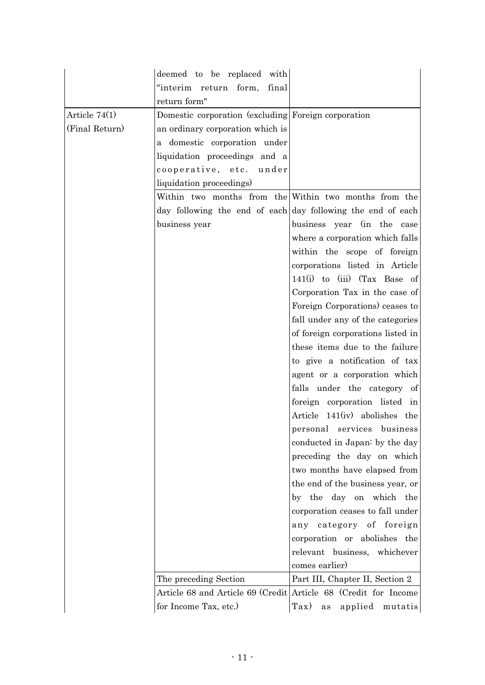|                 | deemed to be replaced with                                      |                                   |
|-----------------|-----------------------------------------------------------------|-----------------------------------|
|                 | "interim return form,<br>final                                  |                                   |
|                 | return form"                                                    |                                   |
| Article $74(1)$ | Domestic corporation (excluding Foreign corporation             |                                   |
| (Final Return)  | an ordinary corporation which is                                |                                   |
|                 | a domestic corporation under                                    |                                   |
|                 | liquidation proceedings and a                                   |                                   |
|                 | cooperative, etc. under                                         |                                   |
|                 | liquidation proceedings)                                        |                                   |
|                 | Within two months from the Within two months from the           |                                   |
|                 | day following the end of each day following the end of each     |                                   |
|                 | business year                                                   | business year (in the case        |
|                 |                                                                 | where a corporation which falls   |
|                 |                                                                 | within the scope of foreign       |
|                 |                                                                 | corporations listed in Article    |
|                 |                                                                 | $141(i)$ to (iii) (Tax Base of    |
|                 |                                                                 | Corporation Tax in the case of    |
|                 |                                                                 | Foreign Corporations) ceases to   |
|                 |                                                                 | fall under any of the categories  |
|                 |                                                                 | of foreign corporations listed in |
|                 |                                                                 | these items due to the failure    |
|                 |                                                                 | to give a notification of tax     |
|                 |                                                                 | agent or a corporation which      |
|                 |                                                                 | falls under the category of       |
|                 |                                                                 | foreign corporation listed in     |
|                 |                                                                 | Article 141(iv) abolishes the     |
|                 |                                                                 | personal services business        |
|                 |                                                                 | conducted in Japan: by the day    |
|                 |                                                                 | preceding the day on which        |
|                 |                                                                 | two months have elapsed from      |
|                 |                                                                 | the end of the business year, or  |
|                 |                                                                 | by the day on which the           |
|                 |                                                                 | corporation ceases to fall under  |
|                 |                                                                 | any category of foreign           |
|                 |                                                                 | corporation or abolishes the      |
|                 |                                                                 | relevant business, whichever      |
|                 |                                                                 | comes earlier)                    |
|                 | The preceding Section                                           | Part III, Chapter II, Section 2   |
|                 | Article 68 and Article 69 (Credit Article 68 (Credit for Income |                                   |
|                 | for Income Tax, etc.)                                           | Tax) as applied mutatis           |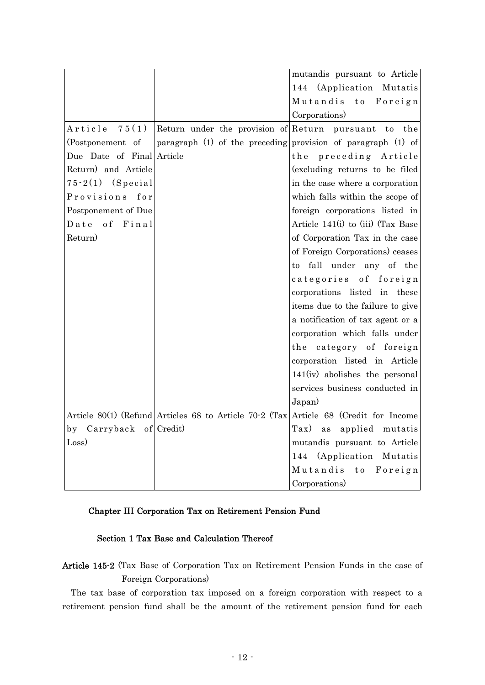|                                     |                                                                                      | mutandis pursuant to Article                           |
|-------------------------------------|--------------------------------------------------------------------------------------|--------------------------------------------------------|
|                                     |                                                                                      | 144 (Application Mutatis<br>Mutandis<br>t o<br>Foreign |
|                                     |                                                                                      |                                                        |
| 75(1)                               |                                                                                      | Corporations)<br>the                                   |
| Article                             | Return under the provision of Return                                                 | pursuant to                                            |
| (Postponement of                    | paragraph (1) of the preceding                                                       | provision of paragraph (1) of                          |
| Due Date of Final Article           |                                                                                      | preceding Article<br>the                               |
| Return) and Article                 |                                                                                      | (excluding returns to be filed                         |
| $75-2(1)$ (Special)                 |                                                                                      | in the case where a corporation                        |
| Provisions for                      |                                                                                      | which falls within the scope of                        |
| Postponement of Due                 |                                                                                      | foreign corporations listed in                         |
| Date of<br>Final                    |                                                                                      | Article $141(i)$ to (iii) (Tax Base                    |
| Return)                             |                                                                                      | of Corporation Tax in the case                         |
|                                     |                                                                                      | of Foreign Corporations) ceases                        |
|                                     |                                                                                      | to fall under any of the                               |
|                                     |                                                                                      | categories of foreign                                  |
|                                     |                                                                                      | corporations listed in these                           |
|                                     |                                                                                      | items due to the failure to give                       |
|                                     |                                                                                      | a notification of tax agent or a                       |
|                                     |                                                                                      | corporation which falls under                          |
|                                     |                                                                                      | the category of foreign                                |
|                                     |                                                                                      | corporation listed in Article                          |
|                                     |                                                                                      | 141(iv) abolishes the personal                         |
|                                     |                                                                                      | services business conducted in                         |
|                                     |                                                                                      | Japan)                                                 |
|                                     | Article 80(1) (Refund Articles 68 to Article 70.2 (Tax Article 68 (Credit for Income |                                                        |
| Carryback of Credit)<br>$_{\rm by}$ |                                                                                      | $\text{Tax)}$<br>applied mutatis<br>as                 |
| Loss)                               |                                                                                      | mutandis pursuant to Article                           |
|                                     |                                                                                      | 144 (Application Mutatis                               |
|                                     |                                                                                      | Mutandis<br>t o<br>Foreign                             |
|                                     |                                                                                      | Corporations)                                          |

# Chapter III Corporation Tax on Retirement Pension Fund

# Section 1 Tax Base and Calculation Thereof

Article 145-2 (Tax Base of Corporation Tax on Retirement Pension Funds in the case of Foreign Corporations)

The tax base of corporation tax imposed on a foreign corporation with respect to a retirement pension fund shall be the amount of the retirement pension fund for each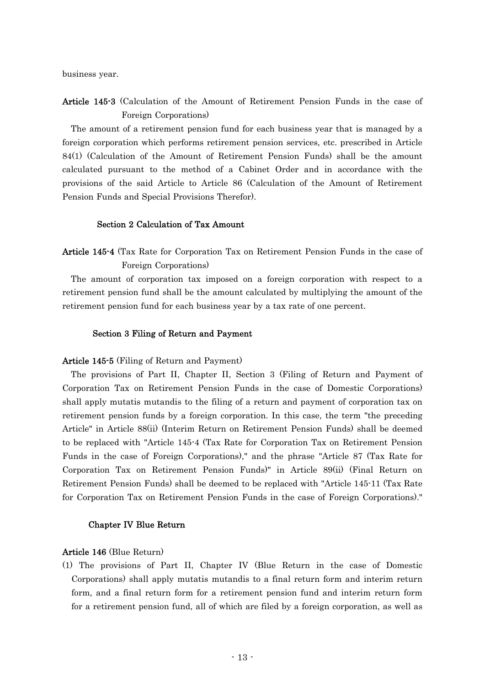business year.

Article 145-3 (Calculation of the Amount of Retirement Pension Funds in the case of Foreign Corporations)

The amount of a retirement pension fund for each business year that is managed by a foreign corporation which performs retirement pension services, etc. prescribed in Article 84(1) (Calculation of the Amount of Retirement Pension Funds) shall be the amount calculated pursuant to the method of a Cabinet Order and in accordance with the provisions of the said Article to Article 86 (Calculation of the Amount of Retirement Pension Funds and Special Provisions Therefor).

### Section 2 Calculation of Tax Amount

Article 145-4 (Tax Rate for Corporation Tax on Retirement Pension Funds in the case of Foreign Corporations)

The amount of corporation tax imposed on a foreign corporation with respect to a retirement pension fund shall be the amount calculated by multiplying the amount of the retirement pension fund for each business year by a tax rate of one percent.

### Section 3 Filing of Return and Payment

### Article 145-5 (Filing of Return and Payment)

The provisions of Part II, Chapter II, Section 3 (Filing of Return and Payment of Corporation Tax on Retirement Pension Funds in the case of Domestic Corporations) shall apply mutatis mutandis to the filing of a return and payment of corporation tax on retirement pension funds by a foreign corporation. In this case, the term "the preceding Article" in Article 88(ii) (Interim Return on Retirement Pension Funds) shall be deemed to be replaced with "Article 145-4 (Tax Rate for Corporation Tax on Retirement Pension Funds in the case of Foreign Corporations)," and the phrase "Article 87 (Tax Rate for Corporation Tax on Retirement Pension Funds)" in Article 89(ii) (Final Return on Retirement Pension Funds) shall be deemed to be replaced with "Article 145-11 (Tax Rate for Corporation Tax on Retirement Pension Funds in the case of Foreign Corporations)."

### Chapter IV Blue Return

#### Article 146 (Blue Return)

(1) The provisions of Part II, Chapter IV (Blue Return in the case of Domestic Corporations) shall apply mutatis mutandis to a final return form and interim return form, and a final return form for a retirement pension fund and interim return form for a retirement pension fund, all of which are filed by a foreign corporation, as well as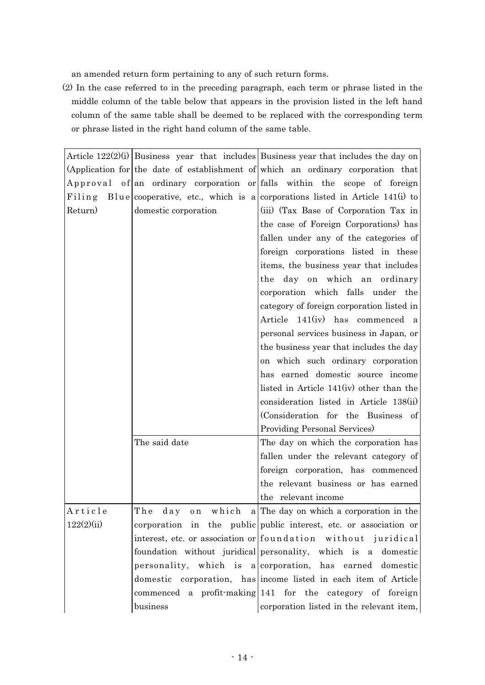an amended return form pertaining to any of such return forms.

(2) In the case referred to in the preceding paragraph, each term or phrase listed in the middle column of the table below that appears in the provision listed in the left hand column of the same table shall be deemed to be replaced with the corresponding term or phrase listed in the right hand column of the same table.

|            |                      | Article $122(2)(i)$ Business year that includes Business year that includes the day on |
|------------|----------------------|----------------------------------------------------------------------------------------|
|            |                      | (Application for the date of establishment of which an ordinary corporation that       |
|            |                      | Approval of an ordinary corporation or falls within the scope of foreign               |
|            |                      | Filing Blue cooperative, etc., which is a corporations listed in Article 141(i) to     |
| Return)    | domestic corporation | (iii) (Tax Base of Corporation Tax in                                                  |
|            |                      | the case of Foreign Corporations) has                                                  |
|            |                      | fallen under any of the categories of                                                  |
|            |                      | foreign corporations listed in these                                                   |
|            |                      | items, the business year that includes                                                 |
|            |                      | the day on which an ordinary                                                           |
|            |                      | corporation which falls under the                                                      |
|            |                      | category of foreign corporation listed in                                              |
|            |                      | Article 141(iv) has commenced a                                                        |
|            |                      | personal services business in Japan, or                                                |
|            |                      | the business year that includes the day                                                |
|            |                      | on which such ordinary corporation                                                     |
|            |                      | has earned domestic source income                                                      |
|            |                      | listed in Article 141(iv) other than the                                               |
|            |                      | consideration listed in Article 138(ii)                                                |
|            |                      | (Consideration for the Business of                                                     |
|            |                      | Providing Personal Services)                                                           |
|            | The said date        | The day on which the corporation has                                                   |
|            |                      | fallen under the relevant category of                                                  |
|            |                      | foreign corporation, has commenced                                                     |
|            |                      | the relevant business or has earned                                                    |
|            |                      | the relevant income                                                                    |
| Article    |                      | The day on which a The day on which a corporation in the                               |
| 122(2)(ii) |                      | corporation in the public public interest, etc. or association or                      |
|            |                      | interest, etc. or association or foundation without juridical                          |
|            |                      | foundation without juridical personality, which is a domestic                          |
|            |                      | personality, which is a corporation, has earned domestic                               |
|            |                      | domestic corporation, has income listed in each item of Article                        |
|            |                      | commenced a profit-making 141 for the category of foreign                              |
|            | business             | corporation listed in the relevant item,                                               |